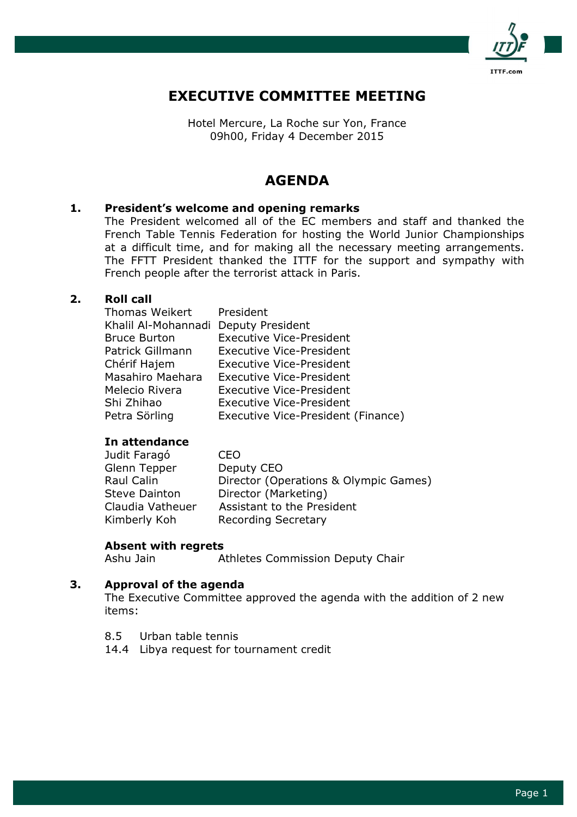

# EXECUTIVE COMMITTEE MEETING

Hotel Mercure, La Roche sur Yon, France 09h00, Friday 4 December 2015

# AGENDA

## 1. President's welcome and opening remarks

 The President welcomed all of the EC members and staff and thanked the French Table Tennis Federation for hosting the World Junior Championships at a difficult time, and for making all the necessary meeting arrangements. The FFTT President thanked the ITTF for the support and sympathy with French people after the terrorist attack in Paris.

#### 2. Roll call

| Thomas Weikert President |                                    |
|--------------------------|------------------------------------|
| Khalil Al-Mohannadi      | <b>Deputy President</b>            |
| <b>Bruce Burton</b>      | <b>Executive Vice-President</b>    |
| Patrick Gillmann         | <b>Executive Vice-President</b>    |
| Chérif Hajem             | <b>Executive Vice-President</b>    |
| Masahiro Maehara         | <b>Executive Vice-President</b>    |
| Melecio Rivera           | <b>Executive Vice-President</b>    |
| Shi Zhihao               | <b>Executive Vice-President</b>    |
| Petra Sörling            | Executive Vice-President (Finance) |

#### In attendance

| CEO                                   |
|---------------------------------------|
| Deputy CEO                            |
| Director (Operations & Olympic Games) |
| Director (Marketing)                  |
| Assistant to the President            |
| <b>Recording Secretary</b>            |
|                                       |

#### Absent with regrets

Ashu Jain Athletes Commission Deputy Chair

## 3. Approval of the agenda

 The Executive Committee approved the agenda with the addition of 2 new items:

- 8.5 Urban table tennis
- 14.4 Libya request for tournament credit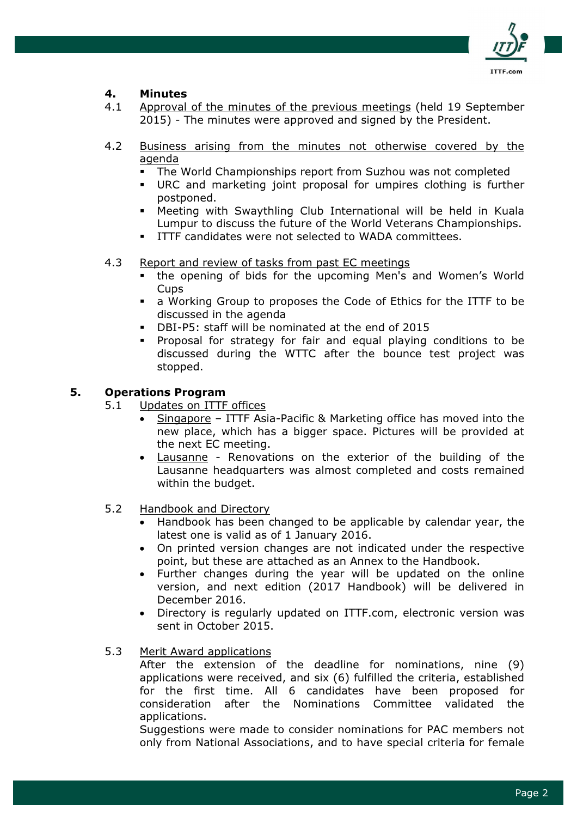

# 4. Minutes

- 4.1 Approval of the minutes of the previous meetings (held 19 September 2015) - The minutes were approved and signed by the President.
- 4.2 Business arising from the minutes not otherwise covered by the agenda
	- The World Championships report from Suzhou was not completed
	- URC and marketing joint proposal for umpires clothing is further postponed.
	- Meeting with Swaythling Club International will be held in Kuala Lumpur to discuss the future of the World Veterans Championships.
	- ITTF candidates were not selected to WADA committees.
- 4.3 Report and review of tasks from past EC meetings
	- the opening of bids for the upcoming Men's and Women's World Cups
	- a Working Group to proposes the Code of Ethics for the ITTF to be discussed in the agenda
	- DBI-P5: staff will be nominated at the end of 2015
	- Proposal for strategy for fair and equal playing conditions to be discussed during the WTTC after the bounce test project was stopped.

## 5. Operations Program

- 5.1 Updates on ITTF offices
	- Singapore ITTF Asia-Pacific & Marketing office has moved into the new place, which has a bigger space. Pictures will be provided at the next EC meeting.
	- Lausanne Renovations on the exterior of the building of the Lausanne headquarters was almost completed and costs remained within the budget.
- 5.2 Handbook and Directory
	- Handbook has been changed to be applicable by calendar year, the latest one is valid as of 1 January 2016.
	- On printed version changes are not indicated under the respective point, but these are attached as an Annex to the Handbook.
	- Further changes during the year will be updated on the online version, and next edition (2017 Handbook) will be delivered in December 2016.
	- Directory is regularly updated on ITTF.com, electronic version was sent in October 2015.
- 5.3 Merit Award applications

After the extension of the deadline for nominations, nine (9) applications were received, and six (6) fulfilled the criteria, established for the first time. All 6 candidates have been proposed for consideration after the Nominations Committee validated the applications.

Suggestions were made to consider nominations for PAC members not only from National Associations, and to have special criteria for female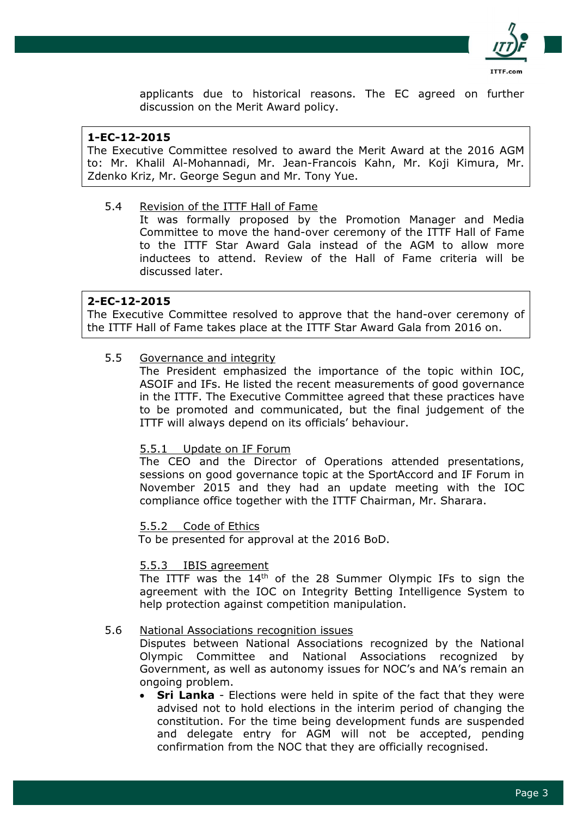

applicants due to historical reasons. The EC agreed on further discussion on the Merit Award policy.

# 1-EC-12-2015

The Executive Committee resolved to award the Merit Award at the 2016 AGM to: Mr. Khalil Al-Mohannadi, Mr. Jean-Francois Kahn, Mr. Koji Kimura, Mr. Zdenko Kriz, Mr. George Segun and Mr. Tony Yue.

5.4 Revision of the ITTF Hall of Fame

It was formally proposed by the Promotion Manager and Media Committee to move the hand-over ceremony of the ITTF Hall of Fame to the ITTF Star Award Gala instead of the AGM to allow more inductees to attend. Review of the Hall of Fame criteria will be discussed later.

## 2-EC-12-2015

The Executive Committee resolved to approve that the hand-over ceremony of the ITTF Hall of Fame takes place at the ITTF Star Award Gala from 2016 on.

# 5.5 Governance and integrity

The President emphasized the importance of the topic within IOC, ASOIF and IFs. He listed the recent measurements of good governance in the ITTF. The Executive Committee agreed that these practices have to be promoted and communicated, but the final judgement of the ITTF will always depend on its officials' behaviour.

#### 5.5.1 Update on IF Forum

The CEO and the Director of Operations attended presentations, sessions on good governance topic at the SportAccord and IF Forum in November 2015 and they had an update meeting with the IOC compliance office together with the ITTF Chairman, Mr. Sharara.

#### 5.5.2 Code of Ethics

To be presented for approval at the 2016 BoD.

#### 5.5.3 IBIS agreement

The ITTF was the 14th of the 28 Summer Olympic IFs to sign the agreement with the IOC on Integrity Betting Intelligence System to help protection against competition manipulation.

#### 5.6 National Associations recognition issues

 Disputes between National Associations recognized by the National Olympic Committee and National Associations recognized by Government, as well as autonomy issues for NOC's and NA's remain an ongoing problem.

• Sri Lanka - Elections were held in spite of the fact that they were advised not to hold elections in the interim period of changing the constitution. For the time being development funds are suspended and delegate entry for AGM will not be accepted, pending confirmation from the NOC that they are officially recognised.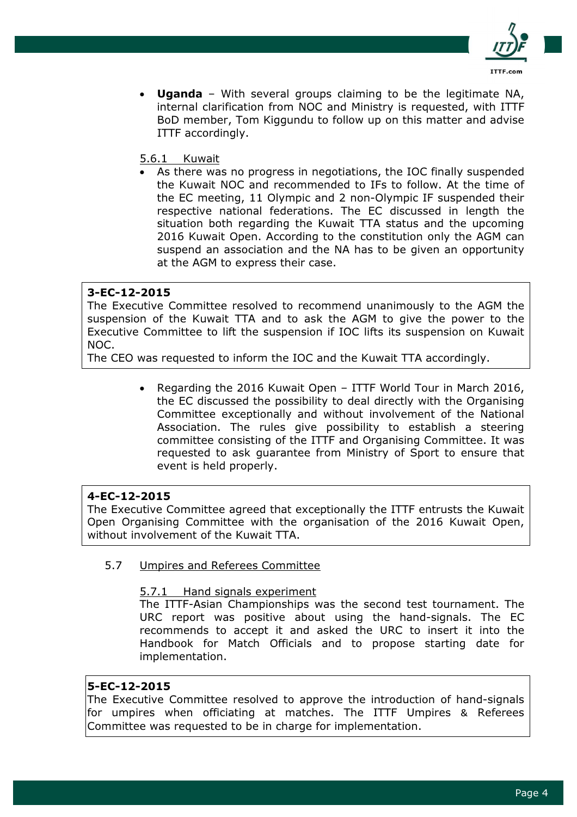

• Uganda – With several groups claiming to be the legitimate NA, internal clarification from NOC and Ministry is requested, with ITTF BoD member, Tom Kiggundu to follow up on this matter and advise ITTF accordingly.

## 5.6.1 Kuwait

As there was no progress in negotiations, the IOC finally suspended the Kuwait NOC and recommended to IFs to follow. At the time of the EC meeting, 11 Olympic and 2 non-Olympic IF suspended their respective national federations. The EC discussed in length the situation both regarding the Kuwait TTA status and the upcoming 2016 Kuwait Open. According to the constitution only the AGM can suspend an association and the NA has to be given an opportunity at the AGM to express their case.

## 3-EC-12-2015

The Executive Committee resolved to recommend unanimously to the AGM the suspension of the Kuwait TTA and to ask the AGM to give the power to the Executive Committee to lift the suspension if IOC lifts its suspension on Kuwait NOC.

The CEO was requested to inform the IOC and the Kuwait TTA accordingly.

• Regarding the 2016 Kuwait Open – ITTF World Tour in March 2016, the EC discussed the possibility to deal directly with the Organising Committee exceptionally and without involvement of the National Association. The rules give possibility to establish a steering committee consisting of the ITTF and Organising Committee. It was requested to ask guarantee from Ministry of Sport to ensure that event is held properly.

# 4-EC-12-2015

The Executive Committee agreed that exceptionally the ITTF entrusts the Kuwait Open Organising Committee with the organisation of the 2016 Kuwait Open, without involvement of the Kuwait TTA.

### 5.7 Umpires and Referees Committee

#### 5.7.1 Hand signals experiment

The ITTF-Asian Championships was the second test tournament. The URC report was positive about using the hand-signals. The EC recommends to accept it and asked the URC to insert it into the Handbook for Match Officials and to propose starting date for implementation.

#### 5-EC-12-2015

The Executive Committee resolved to approve the introduction of hand-signals for umpires when officiating at matches. The ITTF Umpires & Referees Committee was requested to be in charge for implementation.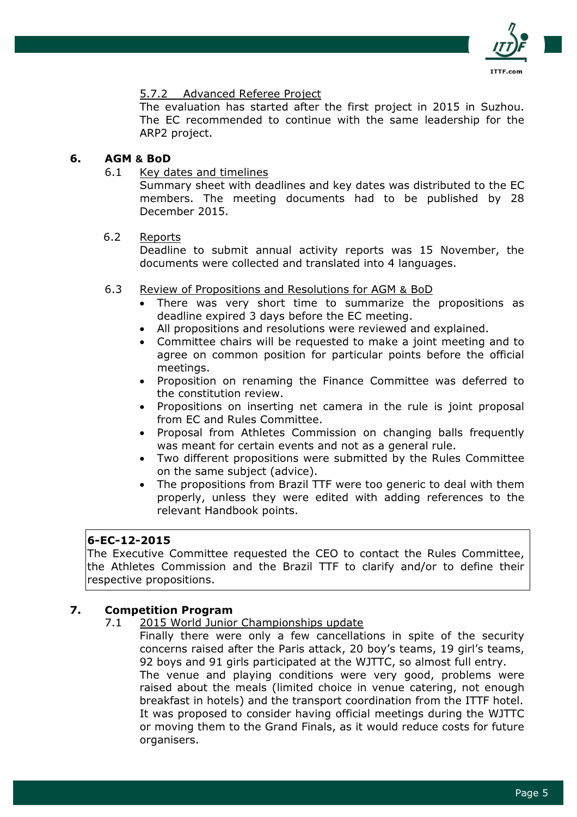

## 5.7.2 Advanced Referee Project

The evaluation has started after the first project in 2015 in Suzhou. The EC recommended to continue with the same leadership for the ARP2 project.

### 6. AGM & BoD

6.1 Key dates and timelines

Summary sheet with deadlines and key dates was distributed to the EC members. The meeting documents had to be published by 28 December 2015.

#### 6.2 Reports

Deadline to submit annual activity reports was 15 November, the documents were collected and translated into 4 languages.

- 6.3 Review of Propositions and Resolutions for AGM & BoD
	- There was very short time to summarize the propositions as deadline expired 3 days before the EC meeting.
	- All propositions and resolutions were reviewed and explained.
	- Committee chairs will be requested to make a joint meeting and to agree on common position for particular points before the official meetings.
	- Proposition on renaming the Finance Committee was deferred to the constitution review.
	- Propositions on inserting net camera in the rule is joint proposal from EC and Rules Committee.
	- Proposal from Athletes Commission on changing balls frequently was meant for certain events and not as a general rule.
	- Two different propositions were submitted by the Rules Committee on the same subject (advice).
	- The propositions from Brazil TTF were too generic to deal with them properly, unless they were edited with adding references to the relevant Handbook points.

#### 6-EC-12-2015

The Executive Committee requested the CEO to contact the Rules Committee, the Athletes Commission and the Brazil TTF to clarify and/or to define their respective propositions.

# 7. Competition Program

7.1 2015 World Junior Championships update

Finally there were only a few cancellations in spite of the security concerns raised after the Paris attack, 20 boy's teams, 19 girl's teams, 92 boys and 91 girls participated at the WJTTC, so almost full entry. The venue and playing conditions were very good, problems were raised about the meals (limited choice in venue catering, not enough breakfast in hotels) and the transport coordination from the ITTF hotel. It was proposed to consider having official meetings during the WJTTC or moving them to the Grand Finals, as it would reduce costs for future organisers.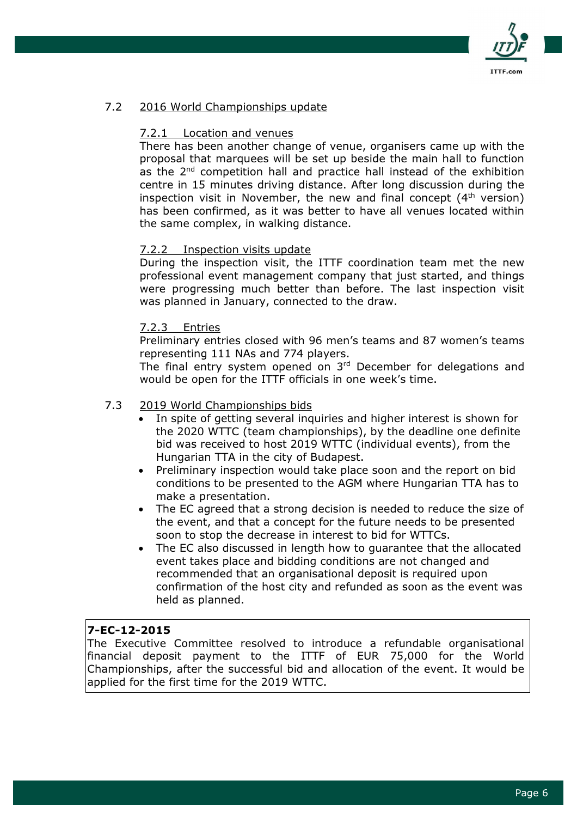

# 7.2 2016 World Championships update

## 7.2.1 Location and venues

There has been another change of venue, organisers came up with the proposal that marquees will be set up beside the main hall to function as the 2<sup>nd</sup> competition hall and practice hall instead of the exhibition centre in 15 minutes driving distance. After long discussion during the inspection visit in November, the new and final concept  $(4<sup>th</sup>$  version) has been confirmed, as it was better to have all venues located within the same complex, in walking distance.

## 7.2.2 Inspection visits update

During the inspection visit, the ITTF coordination team met the new professional event management company that just started, and things were progressing much better than before. The last inspection visit was planned in January, connected to the draw.

## 7.2.3 Entries

Preliminary entries closed with 96 men's teams and 87 women's teams representing 111 NAs and 774 players.

The final entry system opened on 3rd December for delegations and would be open for the ITTF officials in one week's time.

## 7.3 2019 World Championships bids

- In spite of getting several inquiries and higher interest is shown for the 2020 WTTC (team championships), by the deadline one definite bid was received to host 2019 WTTC (individual events), from the Hungarian TTA in the city of Budapest.
- Preliminary inspection would take place soon and the report on bid conditions to be presented to the AGM where Hungarian TTA has to make a presentation.
- The EC agreed that a strong decision is needed to reduce the size of the event, and that a concept for the future needs to be presented soon to stop the decrease in interest to bid for WTTCs.
- The EC also discussed in length how to guarantee that the allocated event takes place and bidding conditions are not changed and recommended that an organisational deposit is required upon confirmation of the host city and refunded as soon as the event was held as planned.

# 7-EC-12-2015

The Executive Committee resolved to introduce a refundable organisational financial deposit payment to the ITTF of EUR 75,000 for the World Championships, after the successful bid and allocation of the event. It would be applied for the first time for the 2019 WTTC.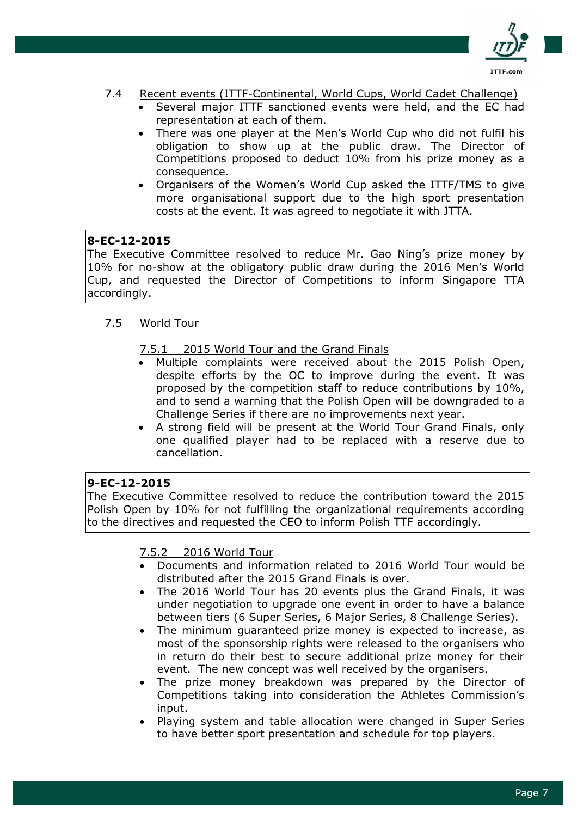

- 7.4 Recent events (ITTF-Continental, World Cups, World Cadet Challenge)
	- Several major ITTF sanctioned events were held, and the EC had representation at each of them.
	- There was one player at the Men's World Cup who did not fulfil his obligation to show up at the public draw. The Director of Competitions proposed to deduct 10% from his prize money as a consequence.
	- Organisers of the Women's World Cup asked the ITTF/TMS to give more organisational support due to the high sport presentation costs at the event. It was agreed to negotiate it with JTTA.

# 8-EC-12-2015

The Executive Committee resolved to reduce Mr. Gao Ning's prize money by 10% for no-show at the obligatory public draw during the 2016 Men's World Cup, and requested the Director of Competitions to inform Singapore TTA accordingly.

## 7.5 World Tour

## 7.5.1 2015 World Tour and the Grand Finals

- Multiple complaints were received about the 2015 Polish Open, despite efforts by the OC to improve during the event. It was proposed by the competition staff to reduce contributions by 10%, and to send a warning that the Polish Open will be downgraded to a Challenge Series if there are no improvements next year.
- A strong field will be present at the World Tour Grand Finals, only one qualified player had to be replaced with a reserve due to cancellation.

#### 9-EC-12-2015

The Executive Committee resolved to reduce the contribution toward the 2015 Polish Open by 10% for not fulfilling the organizational requirements according to the directives and requested the CEO to inform Polish TTF accordingly.

#### 7.5.2 2016 World Tour

- Documents and information related to 2016 World Tour would be distributed after the 2015 Grand Finals is over.
- The 2016 World Tour has 20 events plus the Grand Finals, it was under negotiation to upgrade one event in order to have a balance between tiers (6 Super Series, 6 Major Series, 8 Challenge Series).
- The minimum guaranteed prize money is expected to increase, as most of the sponsorship rights were released to the organisers who in return do their best to secure additional prize money for their event. The new concept was well received by the organisers.
- The prize money breakdown was prepared by the Director of Competitions taking into consideration the Athletes Commission's input.
- Playing system and table allocation were changed in Super Series to have better sport presentation and schedule for top players.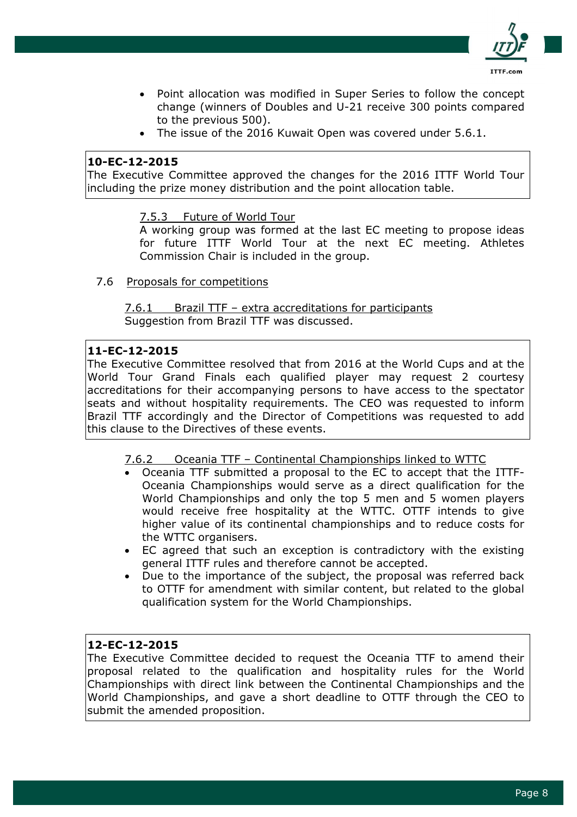

- Point allocation was modified in Super Series to follow the concept change (winners of Doubles and U-21 receive 300 points compared to the previous 500).
- The issue of the 2016 Kuwait Open was covered under 5.6.1.

# 10-EC-12-2015

The Executive Committee approved the changes for the 2016 ITTF World Tour including the prize money distribution and the point allocation table.

7.5.3 Future of World Tour

A working group was formed at the last EC meeting to propose ideas for future ITTF World Tour at the next EC meeting. Athletes Commission Chair is included in the group.

7.6 Proposals for competitions

7.6.1 Brazil TTF – extra accreditations for participants Suggestion from Brazil TTF was discussed.

# 11-EC-12-2015

The Executive Committee resolved that from 2016 at the World Cups and at the World Tour Grand Finals each qualified player may request 2 courtesy accreditations for their accompanying persons to have access to the spectator seats and without hospitality requirements. The CEO was requested to inform Brazil TTF accordingly and the Director of Competitions was requested to add this clause to the Directives of these events.

- 7.6.2 Oceania TTF Continental Championships linked to WTTC
- Oceania TTF submitted a proposal to the EC to accept that the ITTF-Oceania Championships would serve as a direct qualification for the World Championships and only the top 5 men and 5 women players would receive free hospitality at the WTTC. OTTF intends to give higher value of its continental championships and to reduce costs for the WTTC organisers.
- EC agreed that such an exception is contradictory with the existing general ITTF rules and therefore cannot be accepted.
- Due to the importance of the subject, the proposal was referred back to OTTF for amendment with similar content, but related to the global qualification system for the World Championships.

# 12-EC-12-2015

The Executive Committee decided to request the Oceania TTF to amend their proposal related to the qualification and hospitality rules for the World Championships with direct link between the Continental Championships and the World Championships, and gave a short deadline to OTTF through the CEO to submit the amended proposition.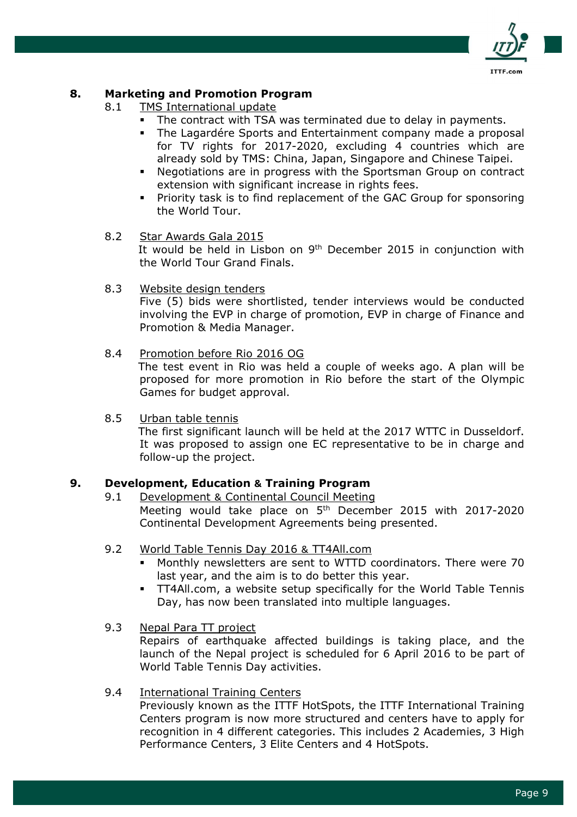

# 8. Marketing and Promotion Program

- 8.1 TMS International update
	- The contract with TSA was terminated due to delay in payments.
	- **The Lagardére Sports and Entertainment company made a proposal** for TV rights for 2017-2020, excluding 4 countries which are already sold by TMS: China, Japan, Singapore and Chinese Taipei.
	- Negotiations are in progress with the Sportsman Group on contract extension with significant increase in rights fees.
	- Priority task is to find replacement of the GAC Group for sponsoring the World Tour.

#### 8.2 Star Awards Gala 2015

It would be held in Lisbon on 9<sup>th</sup> December 2015 in conjunction with the World Tour Grand Finals.

#### 8.3 Website design tenders

Five (5) bids were shortlisted, tender interviews would be conducted involving the EVP in charge of promotion, EVP in charge of Finance and Promotion & Media Manager.

#### 8.4 Promotion before Rio 2016 OG

 The test event in Rio was held a couple of weeks ago. A plan will be proposed for more promotion in Rio before the start of the Olympic Games for budget approval.

8.5 Urban table tennis

 The first significant launch will be held at the 2017 WTTC in Dusseldorf. It was proposed to assign one EC representative to be in charge and follow-up the project.

### 9. Development, Education & Training Program

9.1 Development & Continental Council Meeting

Meeting would take place on 5<sup>th</sup> December 2015 with 2017-2020 Continental Development Agreements being presented.

## 9.2 World Table Tennis Day 2016 & TT4All.com

- Monthly newsletters are sent to WTTD coordinators. There were 70 last year, and the aim is to do better this year.
- **TT4All.com, a website setup specifically for the World Table Tennis** Day, has now been translated into multiple languages.

### 9.3 Nepal Para TT project

Repairs of earthquake affected buildings is taking place, and the launch of the Nepal project is scheduled for 6 April 2016 to be part of World Table Tennis Day activities.

#### 9.4 International Training Centers

Previously known as the ITTF HotSpots, the ITTF International Training Centers program is now more structured and centers have to apply for recognition in 4 different categories. This includes 2 Academies, 3 High Performance Centers, 3 Elite Centers and 4 HotSpots.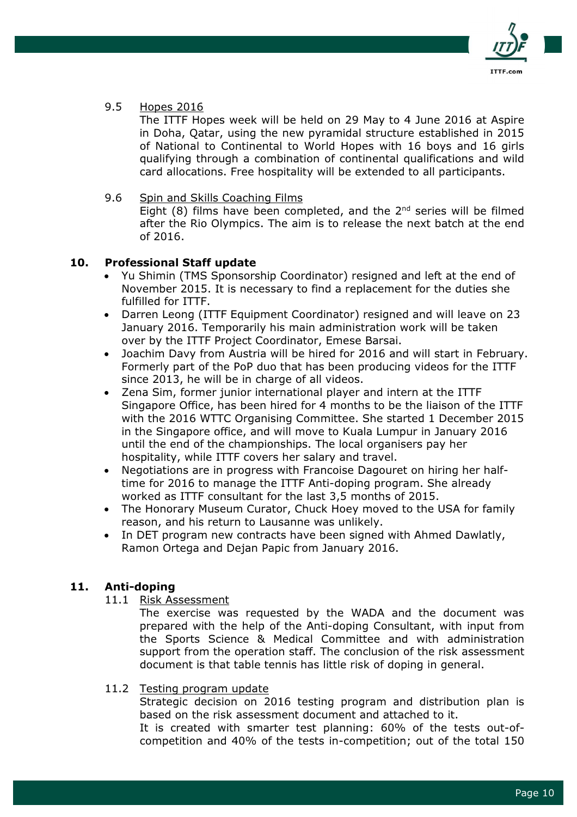

9.5 Hopes 2016

The ITTF Hopes week will be held on 29 May to 4 June 2016 at Aspire in Doha, Qatar, using the new pyramidal structure established in 2015 of National to Continental to World Hopes with 16 boys and 16 girls qualifying through a combination of continental qualifications and wild card allocations. Free hospitality will be extended to all participants.

9.6 Spin and Skills Coaching Films Eight  $(8)$  films have been completed, and the  $2^{nd}$  series will be filmed after the Rio Olympics. The aim is to release the next batch at the end of 2016.

## 10. Professional Staff update

- Yu Shimin (TMS Sponsorship Coordinator) resigned and left at the end of November 2015. It is necessary to find a replacement for the duties she fulfilled for ITTF.
- Darren Leong (ITTF Equipment Coordinator) resigned and will leave on 23 January 2016. Temporarily his main administration work will be taken over by the ITTF Project Coordinator, Emese Barsai.
- Joachim Davy from Austria will be hired for 2016 and will start in February. Formerly part of the PoP duo that has been producing videos for the ITTF since 2013, he will be in charge of all videos.
- Zena Sim, former junior international player and intern at the ITTF Singapore Office, has been hired for 4 months to be the liaison of the ITTF with the 2016 WTTC Organising Committee. She started 1 December 2015 in the Singapore office, and will move to Kuala Lumpur in January 2016 until the end of the championships. The local organisers pay her hospitality, while ITTF covers her salary and travel.
- Negotiations are in progress with Francoise Dagouret on hiring her halftime for 2016 to manage the ITTF Anti-doping program. She already worked as ITTF consultant for the last 3,5 months of 2015.
- The Honorary Museum Curator, Chuck Hoey moved to the USA for family reason, and his return to Lausanne was unlikely.
- In DET program new contracts have been signed with Ahmed Dawlatly, Ramon Ortega and Dejan Papic from January 2016.

# 11. Anti-doping

11.1 Risk Assessment

The exercise was requested by the WADA and the document was prepared with the help of the Anti-doping Consultant, with input from the Sports Science & Medical Committee and with administration support from the operation staff. The conclusion of the risk assessment document is that table tennis has little risk of doping in general.

11.2 Testing program update

Strategic decision on 2016 testing program and distribution plan is based on the risk assessment document and attached to it.

It is created with smarter test planning: 60% of the tests out-ofcompetition and 40% of the tests in-competition; out of the total 150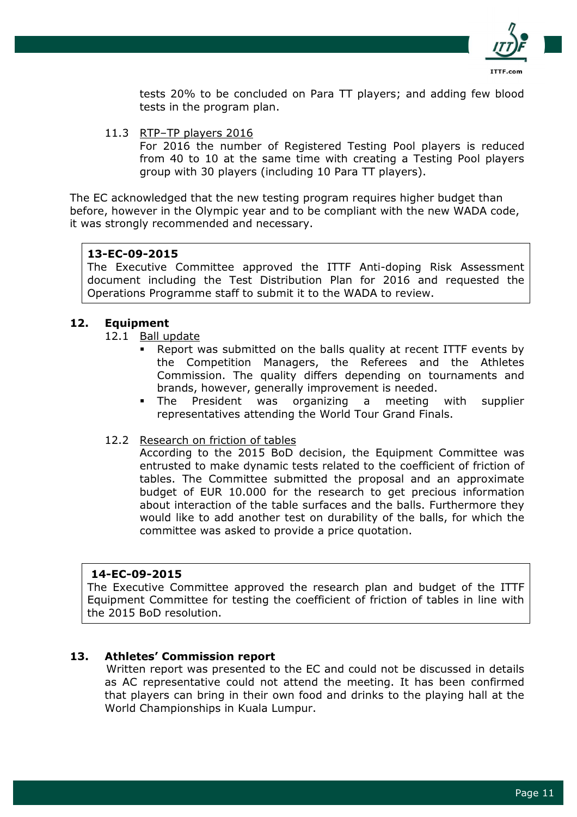

tests 20% to be concluded on Para TT players; and adding few blood tests in the program plan.

11.3 RTP–TP players 2016 For 2016 the number of Registered Testing Pool players is reduced from 40 to 10 at the same time with creating a Testing Pool players group with 30 players (including 10 Para TT players).

The EC acknowledged that the new testing program requires higher budget than before, however in the Olympic year and to be compliant with the new WADA code, it was strongly recommended and necessary.

#### 13-EC-09-2015

The Executive Committee approved the ITTF Anti-doping Risk Assessment document including the Test Distribution Plan for 2016 and requested the Operations Programme staff to submit it to the WADA to review.

#### 12. Equipment

- 12.1 Ball update
	- Report was submitted on the balls quality at recent ITTF events by the Competition Managers, the Referees and the Athletes Commission. The quality differs depending on tournaments and brands, however, generally improvement is needed.
	- The President was organizing a meeting with supplier representatives attending the World Tour Grand Finals.
- 12.2 Research on friction of tables

According to the 2015 BoD decision, the Equipment Committee was entrusted to make dynamic tests related to the coefficient of friction of tables. The Committee submitted the proposal and an approximate budget of EUR 10.000 for the research to get precious information about interaction of the table surfaces and the balls. Furthermore they would like to add another test on durability of the balls, for which the committee was asked to provide a price quotation.

#### 14-EC-09-2015

The Executive Committee approved the research plan and budget of the ITTF Equipment Committee for testing the coefficient of friction of tables in line with the 2015 BoD resolution.

#### 13. Athletes' Commission report

 Written report was presented to the EC and could not be discussed in details as AC representative could not attend the meeting. It has been confirmed that players can bring in their own food and drinks to the playing hall at the World Championships in Kuala Lumpur.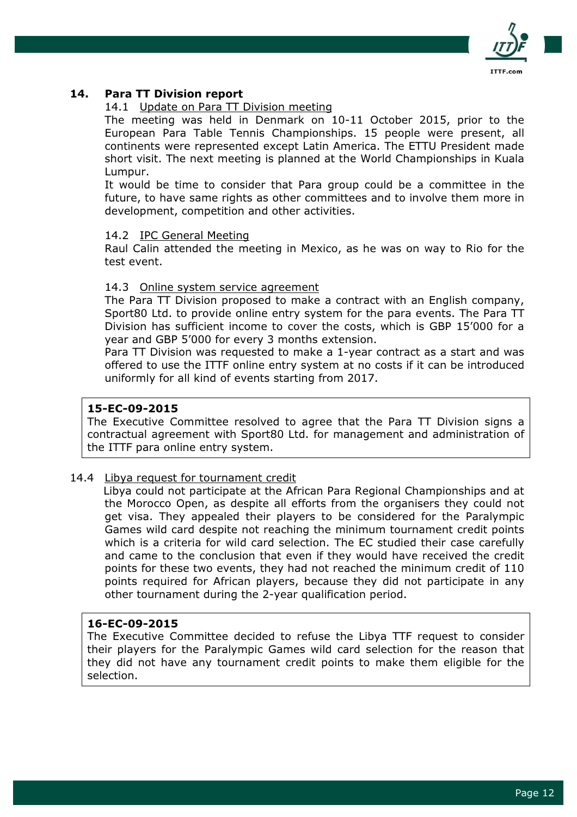

## 14. Para TT Division report

#### 14.1 Update on Para TT Division meeting

The meeting was held in Denmark on 10-11 October 2015, prior to the European Para Table Tennis Championships. 15 people were present, all continents were represented except Latin America. The ETTU President made short visit. The next meeting is planned at the World Championships in Kuala Lumpur.

It would be time to consider that Para group could be a committee in the future, to have same rights as other committees and to involve them more in development, competition and other activities.

#### 14.2 IPC General Meeting

Raul Calin attended the meeting in Mexico, as he was on way to Rio for the test event.

#### 14.3 Online system service agreement

The Para TT Division proposed to make a contract with an English company, Sport80 Ltd. to provide online entry system for the para events. The Para TT Division has sufficient income to cover the costs, which is GBP 15'000 for a year and GBP 5'000 for every 3 months extension.

Para TT Division was requested to make a 1-year contract as a start and was offered to use the ITTF online entry system at no costs if it can be introduced uniformly for all kind of events starting from 2017.

#### 15-EC-09-2015

The Executive Committee resolved to agree that the Para TT Division signs a contractual agreement with Sport80 Ltd. for management and administration of the ITTF para online entry system.

#### 14.4 Libya request for tournament credit

 Libya could not participate at the African Para Regional Championships and at the Morocco Open, as despite all efforts from the organisers they could not get visa. They appealed their players to be considered for the Paralympic Games wild card despite not reaching the minimum tournament credit points which is a criteria for wild card selection. The EC studied their case carefully and came to the conclusion that even if they would have received the credit points for these two events, they had not reached the minimum credit of 110 points required for African players, because they did not participate in any other tournament during the 2-year qualification period.

### 16-EC-09-2015

The Executive Committee decided to refuse the Libya TTF request to consider their players for the Paralympic Games wild card selection for the reason that they did not have any tournament credit points to make them eligible for the selection.